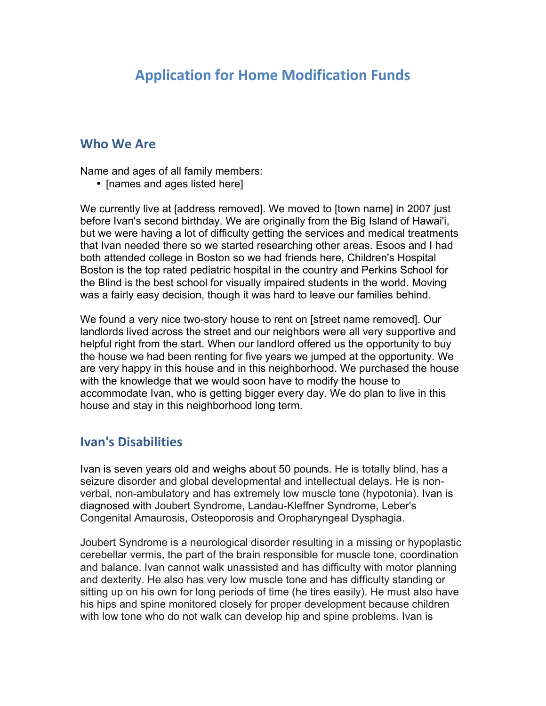# **Application for Home Modification Funds**

### **Who We Are**

Name and ages of all family members:

• [names and ages listed here]

We currently live at [address removed]. We moved to [town name] in 2007 just before Ivan's second birthday. We are originally from the Big Island of Hawai'i, but we were having a lot of difficulty getting the services and medical treatments that Ivan needed there so we started researching other areas. Esoos and I had both attended college in Boston so we had friends here, Children's Hospital Boston is the top rated pediatric hospital in the country and Perkins School for the Blind is the best school for visually impaired students in the world. Moving was a fairly easy decision, though it was hard to leave our families behind.

We found a very nice two-story house to rent on [street name removed]. Our landlords lived across the street and our neighbors were all very supportive and helpful right from the start. When our landlord offered us the opportunity to buy the house we had been renting for five years we jumped at the opportunity. We are very happy in this house and in this neighborhood. We purchased the house with the knowledge that we would soon have to modify the house to accommodate Ivan, who is getting bigger every day. We do plan to live in this house and stay in this neighborhood long term.

#### **Ivan's Disabilities**

Ivan is seven years old and weighs about 50 pounds. He is totally blind, has a seizure disorder and global developmental and intellectual delays. He is nonverbal, non-ambulatory and has extremely low muscle tone (hypotonia). Ivan is diagnosed with Joubert Syndrome, Landau-Kleffner Syndrome, Leber's Congenital Amaurosis, Osteoporosis and Oropharyngeal Dysphagia.

Joubert Syndrome is a neurological disorder resulting in a missing or hypoplastic cerebellar vermis, the part of the brain responsible for muscle tone, coordination and balance. Ivan cannot walk unassisted and has difficulty with motor planning and dexterity. He also has very low muscle tone and has difficulty standing or sitting up on his own for long periods of time (he tires easily). He must also have his hips and spine monitored closely for proper development because children with low tone who do not walk can develop hip and spine problems. Ivan is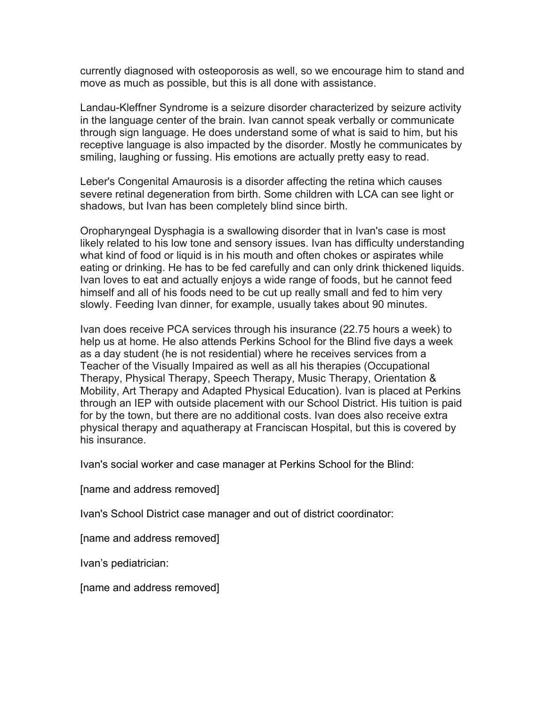currently diagnosed with osteoporosis as well, so we encourage him to stand and move as much as possible, but this is all done with assistance.

Landau-Kleffner Syndrome is a seizure disorder characterized by seizure activity in the language center of the brain. Ivan cannot speak verbally or communicate through sign language. He does understand some of what is said to him, but his receptive language is also impacted by the disorder. Mostly he communicates by smiling, laughing or fussing. His emotions are actually pretty easy to read.

Leber's Congenital Amaurosis is a disorder affecting the retina which causes severe retinal degeneration from birth. Some children with LCA can see light or shadows, but Ivan has been completely blind since birth.

Oropharyngeal Dysphagia is a swallowing disorder that in Ivan's case is most likely related to his low tone and sensory issues. Ivan has difficulty understanding what kind of food or liquid is in his mouth and often chokes or aspirates while eating or drinking. He has to be fed carefully and can only drink thickened liquids. Ivan loves to eat and actually enjoys a wide range of foods, but he cannot feed himself and all of his foods need to be cut up really small and fed to him very slowly. Feeding Ivan dinner, for example, usually takes about 90 minutes.

Ivan does receive PCA services through his insurance (22.75 hours a week) to help us at home. He also attends Perkins School for the Blind five days a week as a day student (he is not residential) where he receives services from a Teacher of the Visually Impaired as well as all his therapies (Occupational Therapy, Physical Therapy, Speech Therapy, Music Therapy, Orientation & Mobility, Art Therapy and Adapted Physical Education). Ivan is placed at Perkins through an IEP with outside placement with our School District. His tuition is paid for by the town, but there are no additional costs. Ivan does also receive extra physical therapy and aquatherapy at Franciscan Hospital, but this is covered by his insurance.

Ivan's social worker and case manager at Perkins School for the Blind:

[name and address removed]

Ivan's School District case manager and out of district coordinator:

[name and address removed]

Ivan's pediatrician:

[name and address removed]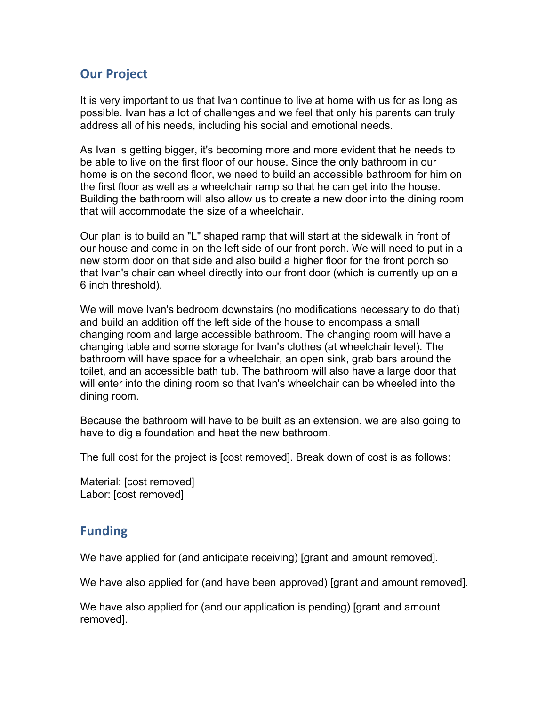# **Our Project**

It is very important to us that Ivan continue to live at home with us for as long as possible. Ivan has a lot of challenges and we feel that only his parents can truly address all of his needs, including his social and emotional needs.

As Ivan is getting bigger, it's becoming more and more evident that he needs to be able to live on the first floor of our house. Since the only bathroom in our home is on the second floor, we need to build an accessible bathroom for him on the first floor as well as a wheelchair ramp so that he can get into the house. Building the bathroom will also allow us to create a new door into the dining room that will accommodate the size of a wheelchair.

Our plan is to build an "L" shaped ramp that will start at the sidewalk in front of our house and come in on the left side of our front porch. We will need to put in a new storm door on that side and also build a higher floor for the front porch so that Ivan's chair can wheel directly into our front door (which is currently up on a 6 inch threshold).

We will move Ivan's bedroom downstairs (no modifications necessary to do that) and build an addition off the left side of the house to encompass a small changing room and large accessible bathroom. The changing room will have a changing table and some storage for Ivan's clothes (at wheelchair level). The bathroom will have space for a wheelchair, an open sink, grab bars around the toilet, and an accessible bath tub. The bathroom will also have a large door that will enter into the dining room so that Ivan's wheelchair can be wheeled into the dining room.

Because the bathroom will have to be built as an extension, we are also going to have to dig a foundation and heat the new bathroom.

The full cost for the project is [cost removed]. Break down of cost is as follows:

Material: [cost removed] Labor: [cost removed]

## **Funding**

We have applied for (and anticipate receiving) [grant and amount removed].

We have also applied for (and have been approved) [grant and amount removed].

We have also applied for (and our application is pending) [grant and amount removed].